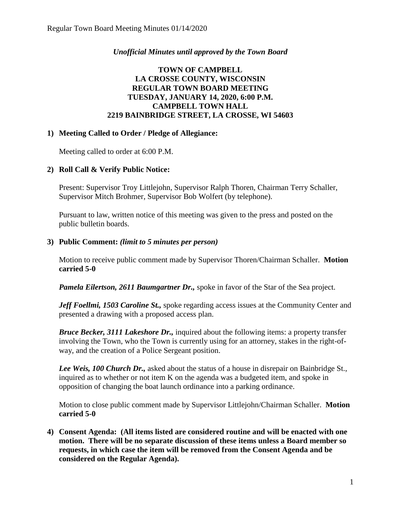# *Unofficial Minutes until approved by the Town Board*

# **TOWN OF CAMPBELL LA CROSSE COUNTY, WISCONSIN REGULAR TOWN BOARD MEETING TUESDAY, JANUARY 14, 2020, 6:00 P.M. CAMPBELL TOWN HALL 2219 BAINBRIDGE STREET, LA CROSSE, WI 54603**

## **1) Meeting Called to Order / Pledge of Allegiance:**

Meeting called to order at 6:00 P.M.

## **2) Roll Call & Verify Public Notice:**

Present: Supervisor Troy Littlejohn, Supervisor Ralph Thoren, Chairman Terry Schaller, Supervisor Mitch Brohmer, Supervisor Bob Wolfert (by telephone).

Pursuant to law, written notice of this meeting was given to the press and posted on the public bulletin boards.

## **3) Public Comment:** *(limit to 5 minutes per person)*

Motion to receive public comment made by Supervisor Thoren/Chairman Schaller. **Motion carried 5-0**

*Pamela Eilertson, 2611 Baumgartner Dr.,* spoke in favor of the Star of the Sea project.

*Jeff Foellmi, 1503 Caroline St.,* spoke regarding access issues at the Community Center and presented a drawing with a proposed access plan.

*Bruce Becker, 3111 Lakeshore Dr.,* inquired about the following items: a property transfer involving the Town, who the Town is currently using for an attorney, stakes in the right-ofway, and the creation of a Police Sergeant position.

*Lee Weis, 100 Church Dr.,* asked about the status of a house in disrepair on Bainbridge St., inquired as to whether or not item K on the agenda was a budgeted item, and spoke in opposition of changing the boat launch ordinance into a parking ordinance.

Motion to close public comment made by Supervisor Littlejohn/Chairman Schaller. **Motion carried 5-0**

**4) Consent Agenda: (All items listed are considered routine and will be enacted with one motion. There will be no separate discussion of these items unless a Board member so requests, in which case the item will be removed from the Consent Agenda and be considered on the Regular Agenda).**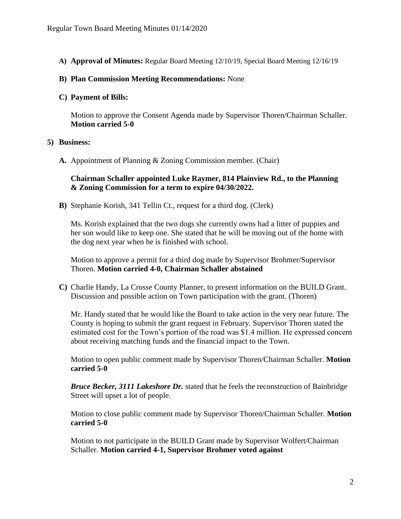**A) Approval of Minutes:** Regular Board Meeting 12/10/19, Special Board Meeting 12/16/19

#### **B) Plan Commission Meeting Recommendations:** None

#### **C) Payment of Bills:**

Motion to approve the Consent Agenda made by Supervisor Thoren/Chairman Schaller. **Motion carried 5-0** 

#### **5) Business:**

**A.** Appointment of Planning & Zoning Commission member. (Chair)

### **Chairman Schaller appointed Luke Raymer, 814 Plainview Rd., to the Planning & Zoning Commission for a term to expire 04/30/2022.**

**B)** Stephanie Korish, 341 Tellin Ct., request for a third dog. (Clerk)

Ms. Korish explained that the two dogs she currently owns had a litter of puppies and her son would like to keep one. She stated that he will be moving out of the home with the dog next year when he is finished with school.

Motion to approve a permit for a third dog made by Supervisor Brohmer/Supervisor Thoren. **Motion carried 4-0, Chairman Schaller abstained**

**C)** Charlie Handy, La Crosse County Planner, to present information on the BUILD Grant. Discussion and possible action on Town participation with the grant. (Thoren)

Mr. Handy stated that he would like the Board to take action in the very near future. The County is hoping to submit the grant request in February. Supervisor Thoren stated the estimated cost for the Town's portion of the road was \$1.4 million. He expressed concern about receiving matching funds and the financial impact to the Town.

Motion to open public comment made by Supervisor Thoren/Chairman Schaller. **Motion carried 5-0**

*Bruce Becker, 3111 Lakeshore Dr.* stated that he feels the reconstruction of Bainbridge Street will upset a lot of people.

Motion to close public comment made by Supervisor Thoren/Chairman Schaller. **Motion carried 5-0**

Motion to not participate in the BUILD Grant made by Supervisor Wolfert/Chairman Schaller. **Motion carried 4-1, Supervisor Brohmer voted against**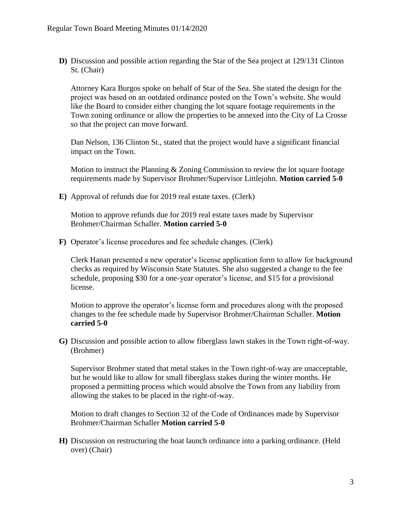**D)** Discussion and possible action regarding the Star of the Sea project at 129/131 Clinton St. (Chair)

Attorney Kara Burgos spoke on behalf of Star of the Sea. She stated the design for the project was based on an outdated ordinance posted on the Town's website. She would like the Board to consider either changing the lot square footage requirements in the Town zoning ordinance or allow the properties to be annexed into the City of La Crosse so that the project can move forward.

Dan Nelson, 136 Clinton St., stated that the project would have a significant financial impact on the Town.

Motion to instruct the Planning & Zoning Commission to review the lot square footage requirements made by Supervisor Brohmer/Supervisor Littlejohn. **Motion carried 5-0** 

**E)** Approval of refunds due for 2019 real estate taxes. (Clerk)

Motion to approve refunds due for 2019 real estate taxes made by Supervisor Brohmer/Chairman Schaller. **Motion carried 5-0**

**F)** Operator's license procedures and fee schedule changes. (Clerk)

Clerk Hanan presented a new operator's license application form to allow for background checks as required by Wisconsin State Statutes. She also suggested a change to the fee schedule, proposing \$30 for a one-year operator's license, and \$15 for a provisional license.

Motion to approve the operator's license form and procedures along with the proposed changes to the fee schedule made by Supervisor Brohmer/Chairman Schaller. **Motion carried 5-0**

**G)** Discussion and possible action to allow fiberglass lawn stakes in the Town right-of-way. (Brohmer)

Supervisor Brohmer stated that metal stakes in the Town right-of-way are unacceptable, but he would like to allow for small fiberglass stakes during the winter months. He proposed a permitting process which would absolve the Town from any liability from allowing the stakes to be placed in the right-of-way.

Motion to draft changes to Section 32 of the Code of Ordinances made by Supervisor Brohmer/Chairman Schaller **Motion carried 5-0**

**H)** Discussion on restructuring the boat launch ordinance into a parking ordinance. (Held over) (Chair)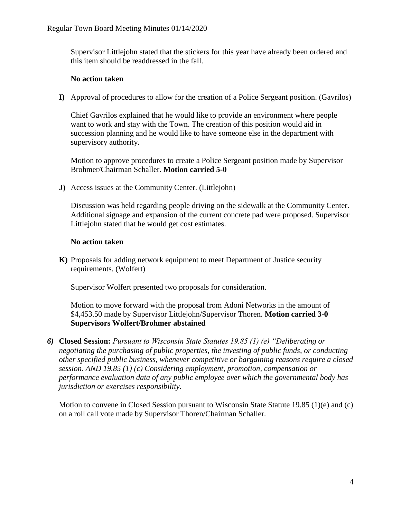Supervisor Littlejohn stated that the stickers for this year have already been ordered and this item should be readdressed in the fall.

### **No action taken**

**I)** Approval of procedures to allow for the creation of a Police Sergeant position. (Gavrilos)

Chief Gavrilos explained that he would like to provide an environment where people want to work and stay with the Town. The creation of this position would aid in succession planning and he would like to have someone else in the department with supervisory authority.

Motion to approve procedures to create a Police Sergeant position made by Supervisor Brohmer/Chairman Schaller. **Motion carried 5-0**

**J)** Access issues at the Community Center. (Littlejohn)

Discussion was held regarding people driving on the sidewalk at the Community Center. Additional signage and expansion of the current concrete pad were proposed. Supervisor Littlejohn stated that he would get cost estimates.

### **No action taken**

**K)** Proposals for adding network equipment to meet Department of Justice security requirements. (Wolfert)

Supervisor Wolfert presented two proposals for consideration.

Motion to move forward with the proposal from Adoni Networks in the amount of \$4,453.50 made by Supervisor Littlejohn/Supervisor Thoren. **Motion carried 3-0 Supervisors Wolfert/Brohmer abstained**

*6)* **Closed Session:** *Pursuant to Wisconsin State Statutes 19.85 (1) (e) "Deliberating or negotiating the purchasing of public properties, the investing of public funds, or conducting other specified public business, whenever competitive or bargaining reasons require a closed session. AND 19.85 (1) (c) Considering employment, promotion, compensation or performance evaluation data of any public employee over which the governmental body has jurisdiction or exercises responsibility.*

Motion to convene in Closed Session pursuant to Wisconsin State Statute 19.85 (1)(e) and (c) on a roll call vote made by Supervisor Thoren/Chairman Schaller.